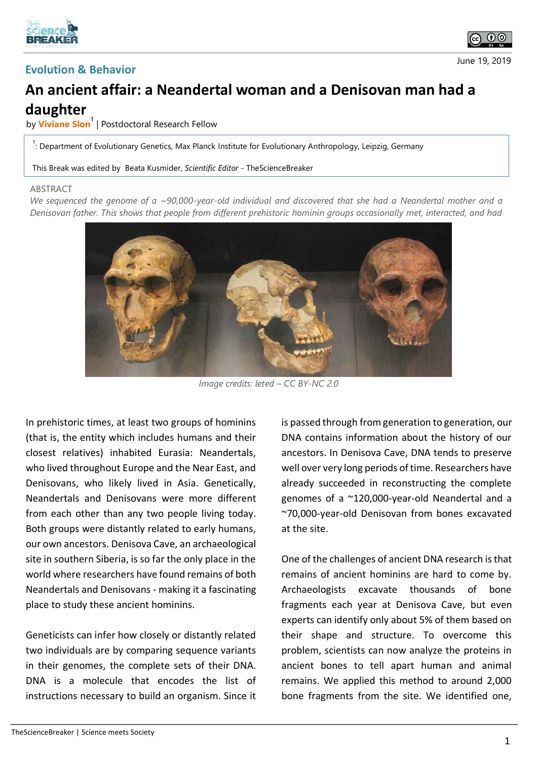





## **An ancient affair: a Neandertal woman and a Denisovan man had a daughter**

by **Viviane Slon<sup>1</sup>** | Postdoctoral Research Fellow

<sup>1</sup>: Department of Evolutionary Genetics, Max Planck Institute for Evolutionary Anthropology, Leipzig, Germany

This Break was edited by Beata Kusmider, *Scientific Editor* - TheScienceBreaker

## ABSTRACT

*We sequenced the genome of a ~90,000-year-old individual and discovered that she had a Neandertal mother and a Denisovan father. This shows that people from different prehistoric hominin groups occasionally met, interacted, and had* 



*Image credits: leted – CC BY-NC 2.0*

In prehistoric times, at least two groups of hominins (that is, the entity which includes humans and their closest relatives) inhabited Eurasia: Neandertals, who lived throughout Europe and the Near East, and Denisovans, who likely lived in Asia. Genetically, Neandertals and Denisovans were more different from each other than any two people living today. Both groups were distantly related to early humans, our own ancestors. Denisova Cave, an archaeological site in southern Siberia, is so far the only place in the world where researchers have found remains of both Neandertals and Denisovans - making it a fascinating place to study these ancient hominins.

Geneticists can infer how closely or distantly related two individuals are by comparing sequence variants in their genomes, the complete sets of their DNA. DNA is a molecule that encodes the list of instructions necessary to build an organism. Since it is passed through from generation to generation, our DNA contains information about the history of our ancestors. In Denisova Cave, DNA tends to preserve well over very long periods of time. Researchers have already succeeded in reconstructing the complete genomes of a ~120,000-year-old Neandertal and a ~70,000-year-old Denisovan from bones excavated at the site.

One of the challenges of ancient DNA research is that remains of ancient hominins are hard to come by. Archaeologists excavate thousands of bone fragments each year at Denisova Cave, but even experts can identify only about 5% of them based on their shape and structure. To overcome this problem, scientists can now analyze the proteins in ancient bones to tell apart human and animal remains. We applied this method to around 2,000 bone fragments from the site. We identified one,